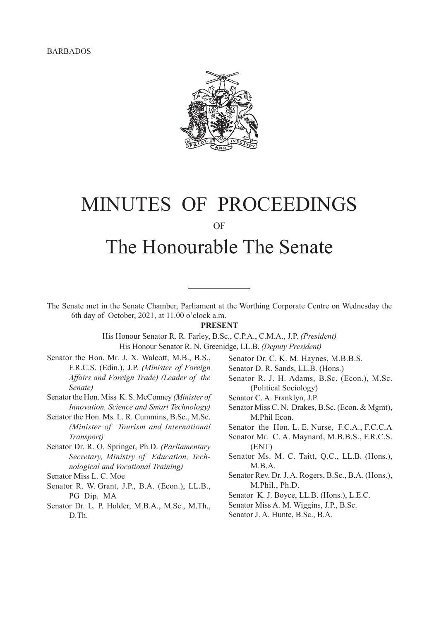

# MINUTES OF PROCEEDINGS OF

# The Honourable The Senate

The Senate met in the Senate Chamber, Parliament at the Worthing Corporate Centre on Wednesday the 6th day of October, 2021, at 11.00 o'clock a.m.

#### **PRESENT**

His Honour Senator R. R. Farley, B.Sc., C.P.A., C.M.A., J.P. *(President)* His Honour Senator R. N. Greenidge, LL.B. *(Deputy President)*

- Senator the Hon. Mr. J. X. Walcott, M.B., B.S., F.R.C.S. (Edin.), J.P. *(Minister of Foreign Affairs and Foreign Trade) (Leader of the Senate)*
- Senator the Hon. Miss K. S. McConney *(Minister of Innovation, Science and Smart Technology)*
- Senator the Hon. Ms. L. R. Cummins, B.Sc., M.Sc. *(Minister of Tourism and International Transport)*
- Senator Dr. R. O. Springer, Ph.D. *(Parliamentary Secretary, Ministry of Education, Technological and Vocational Training)*
- Senator Miss L. C. Moe
- Senator R. W. Grant, J.P., B.A. (Econ.), LL.B., PG Dip. MA
- Senator Dr. L. P. Holder, M.B.A., M.Sc., M.Th., D.Th.
- Senator Dr. C. K. M. Haynes, M.B.B.S.
- Senator D. R. Sands, LL.B. (Hons.)
- Senator R. J. H. Adams, B.Sc. (Econ.), M.Sc. (Political Sociology)
- Senator C. A. Franklyn, J.P.
- Senator Miss C. N. Drakes, B.Sc. (Econ. & Mgmt), M.Phil Econ.
- Senator the Hon. L. E. Nurse, F.C.A., F.C.C.A
- Senator Mr. C. A. Maynard, M.B.B.S., F.R.C.S. (ENT)
- Senator Ms. M. C. Taitt, Q.C., LL.B. (Hons.), M.B.A.
- Senator Rev. Dr. J. A. Rogers, B.Sc., B.A. (Hons.), M.Phil., Ph.D.
- Senator K. J. Boyce, LL.B. (Hons.), L.E.C.
- Senator Miss A. M. Wiggins, J.P., B.Sc.
- Senator J. A. Hunte, B.Sc., B.A.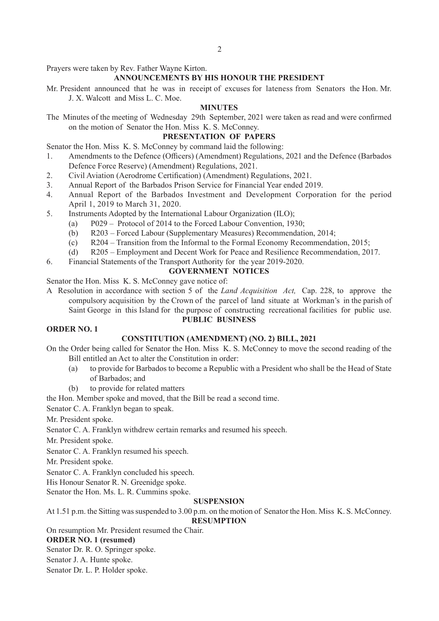Prayers were taken by Rev. Father Wayne Kirton.

# **ANNOUNCEMENTS BY HIS HONOUR THE PRESIDENT**

Mr. President announced that he was in receipt of excuses for lateness from Senators the Hon. Mr. J. X. Walcott and Miss L. C. Moe.

## **MINUTES**

The Minutes of the meeting of Wednesday 29th September, 2021 were taken as read and were confirmed on the motion of Senator the Hon. Miss K. S. McConney.

## **PRESENTATION OF PAPERS**

Senator the Hon. Miss K. S. McConney by command laid the following:

- 1. Amendments to the Defence (Officers) (Amendment) Regulations, 2021 and the Defence (Barbados Defence Force Reserve) (Amendment) Regulations, 2021.
- 2. Civil Aviation (Aerodrome Certification) (Amendment) Regulations, 2021.
- 3. Annual Report of the Barbados Prison Service for Financial Year ended 2019.
- 4. Annual Report of the Barbados Investment and Development Corporation for the period April 1, 2019 to March 31, 2020.
- 5. Instruments Adopted by the International Labour Organization (ILO);
	- (a) P029 Protocol of 2014 to the Forced Labour Convention, 1930;
	- (b) R203 Forced Labour (Supplementary Measures) Recommendation, 2014;
	- (c) R204 Transition from the Informal to the Formal Economy Recommendation, 2015;
	- (d) R205 Employment and Decent Work for Peace and Resilience Recommendation, 2017.
- 6. Financial Statements of the Transport Authority for the year 2019-2020.

# **GOVERNMENT NOTICES**

Senator the Hon. Miss K. S. McConney gave notice of:

A Resolution in accordance with section 5 of the *Land Acquisition Act,* Cap. 228, to approve the compulsory acquisition by the Crown of the parcel of land situate at Workman's in the parish of Saint George in this Island for the purpose of constructing recreational facilities for public use.

#### **PUBLIC BUSINESS**

# **ORDER NO. 1**

# **CONSTITUTION (AMENDMENT) (NO. 2) BILL, 2021**

- On the Order being called for Senator the Hon. Miss K. S. McConney to move the second reading of the Bill entitled an Act to alter the Constitution in order:
	- (a) to provide for Barbados to become a Republic with a President who shall be the Head of State of Barbados; and
	- (b) to provide for related matters
- the Hon. Member spoke and moved, that the Bill be read a second time.

Senator C. A. Franklyn began to speak.

Mr. President spoke.

Senator C. A. Franklyn withdrew certain remarks and resumed his speech.

Mr. President spoke.

Senator C. A. Franklyn resumed his speech.

Mr. President spoke.

Senator C. A. Franklyn concluded his speech.

His Honour Senator R. N. Greenidge spoke.

Senator the Hon. Ms. L. R. Cummins spoke.

#### **SUSPENSION**

At 1.51 p.m. the Sitting was suspended to 3.00 p.m. on the motion of Senator the Hon. Miss K. S. McConney.

**RESUMPTION**

On resumption Mr. President resumed the Chair.

# **ORDER NO. 1 (resumed)**

Senator Dr. R. O. Springer spoke.

Senator J. A. Hunte spoke.

Senator Dr. L. P. Holder spoke.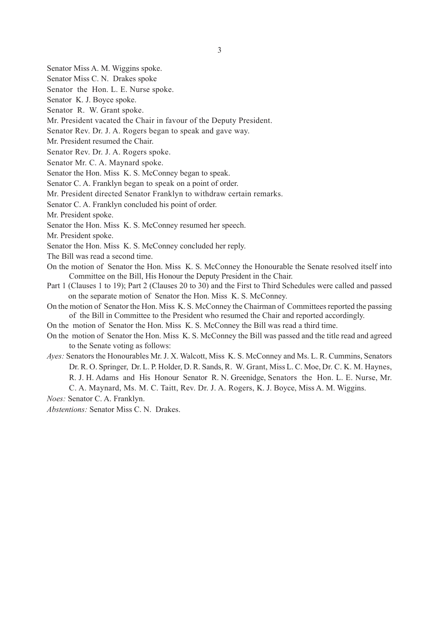- Senator Miss A. M. Wiggins spoke.
- Senator Miss C. N. Drakes spoke
- Senator the Hon. L. E. Nurse spoke.
- Senator K. J. Boyce spoke.
- Senator R. W. Grant spoke.
- Mr. President vacated the Chair in favour of the Deputy President.
- Senator Rev. Dr. J. A. Rogers began to speak and gave way.
- Mr. President resumed the Chair.
- Senator Rev. Dr. J. A. Rogers spoke.
- Senator Mr. C. A. Maynard spoke.
- Senator the Hon. Miss K. S. McConney began to speak.
- Senator C. A. Franklyn began to speak on a point of order.
- Mr. President directed Senator Franklyn to withdraw certain remarks.
- Senator C. A. Franklyn concluded his point of order.
- Mr. President spoke.
- Senator the Hon. Miss K. S. McConney resumed her speech.
- Mr. President spoke.
- Senator the Hon. Miss K. S. McConney concluded her reply.
- The Bill was read a second time.
- On the motion of Senator the Hon. Miss K. S. McConney the Honourable the Senate resolved itself into Committee on the Bill, His Honour the Deputy President in the Chair.
- Part 1 (Clauses 1 to 19); Part 2 (Clauses 20 to 30) and the First to Third Schedules were called and passed on the separate motion of Senator the Hon. Miss K. S. McConney.
- On the motion of Senator the Hon. Miss K. S. McConney the Chairman of Committees reported the passing of the Bill in Committee to the President who resumed the Chair and reported accordingly.
- On the motion of Senator the Hon. Miss K. S. McConney the Bill was read a third time.
- On the motion of Senator the Hon. Miss K. S. McConney the Bill was passed and the title read and agreed to the Senate voting as follows:
- *Ayes:* Senators the Honourables Mr. J. X. Walcott, Miss K. S. McConney and Ms. L. R. Cummins, Senators Dr. R. O. Springer, Dr. L. P. Holder, D. R. Sands, R. W. Grant, Miss L. C. Moe, Dr. C. K. M. Haynes, R. J. H. Adams and His Honour Senator R. N. Greenidge, Senators the Hon. L. E. Nurse, Mr.
	- C. A. Maynard, Ms. M. C. Taitt, Rev. Dr. J. A. Rogers, K. J. Boyce, Miss A. M. Wiggins.

*Noes:* Senator C. A. Franklyn.

*Abstentions:* Senator Miss C. N. Drakes.